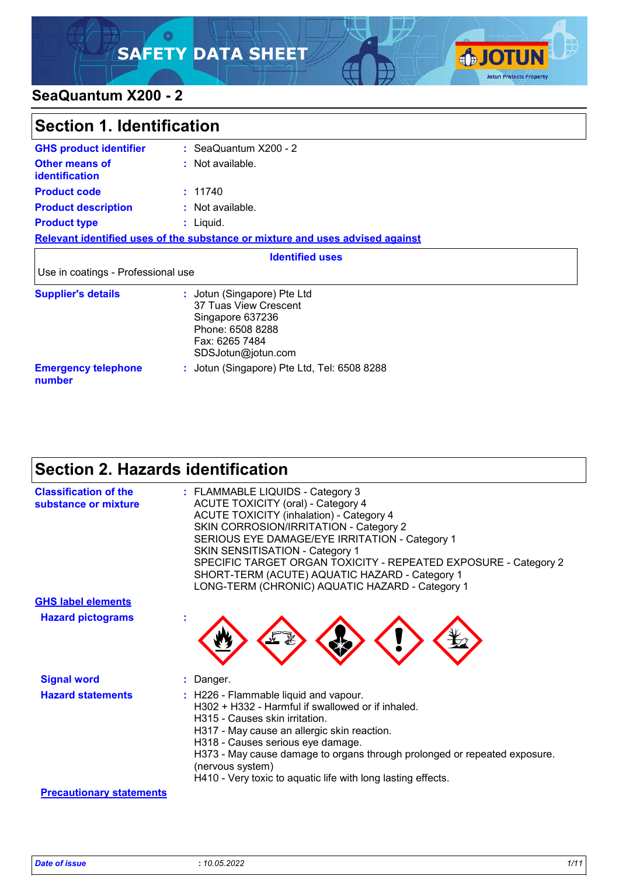### ୍ଠ **SAFETY DATA SHEET**



### **SeaQuantum X200 - 2**

| Section 1. Identification                      |                                                                                                                                      |  |
|------------------------------------------------|--------------------------------------------------------------------------------------------------------------------------------------|--|
| <b>GHS product identifier</b>                  | $\therefore$ SeaQuantum X200 - 2                                                                                                     |  |
| <b>Other means of</b><br><b>identification</b> | : Not available.                                                                                                                     |  |
| <b>Product code</b>                            | : 11740                                                                                                                              |  |
| <b>Product description</b>                     | : Not available.                                                                                                                     |  |
| <b>Product type</b>                            | : Liquid.                                                                                                                            |  |
|                                                | Relevant identified uses of the substance or mixture and uses advised against                                                        |  |
|                                                | <b>Identified uses</b>                                                                                                               |  |
| Use in coatings - Professional use             |                                                                                                                                      |  |
| <b>Supplier's details</b>                      | : Jotun (Singapore) Pte Ltd<br>37 Tuas View Crescent<br>Singapore 637236<br>Phone: 6508 8288<br>Fax: 6265 7484<br>SDSJotun@jotun.com |  |
| <b>Emergency telephone</b><br>number           | : Jotun (Singapore) Pte Ltd, Tel: 6508 8288                                                                                          |  |

## **Section 2. Hazards identification**

| <b>Classification of the</b><br>substance or mixture | : FLAMMABLE LIQUIDS - Category 3<br><b>ACUTE TOXICITY (oral) - Category 4</b><br><b>ACUTE TOXICITY (inhalation) - Category 4</b><br>SKIN CORROSION/IRRITATION - Category 2<br>SERIOUS EYE DAMAGE/EYE IRRITATION - Category 1<br><b>SKIN SENSITISATION - Category 1</b><br>SPECIFIC TARGET ORGAN TOXICITY - REPEATED EXPOSURE - Category 2<br>SHORT-TERM (ACUTE) AQUATIC HAZARD - Category 1<br>LONG-TERM (CHRONIC) AQUATIC HAZARD - Category 1 |
|------------------------------------------------------|------------------------------------------------------------------------------------------------------------------------------------------------------------------------------------------------------------------------------------------------------------------------------------------------------------------------------------------------------------------------------------------------------------------------------------------------|
| <b>GHS label elements</b>                            |                                                                                                                                                                                                                                                                                                                                                                                                                                                |
| <b>Hazard pictograms</b>                             |                                                                                                                                                                                                                                                                                                                                                                                                                                                |
| <b>Signal word</b>                                   | : Danger.                                                                                                                                                                                                                                                                                                                                                                                                                                      |
| <b>Hazard statements</b>                             | : H226 - Flammable liquid and vapour.<br>H302 + H332 - Harmful if swallowed or if inhaled.<br>H315 - Causes skin irritation.<br>H317 - May cause an allergic skin reaction.<br>H318 - Causes serious eye damage.<br>H373 - May cause damage to organs through prolonged or repeated exposure.<br>(nervous system)<br>H410 - Very toxic to aquatic life with long lasting effects.                                                              |
| <b>Precautionary statements</b>                      |                                                                                                                                                                                                                                                                                                                                                                                                                                                |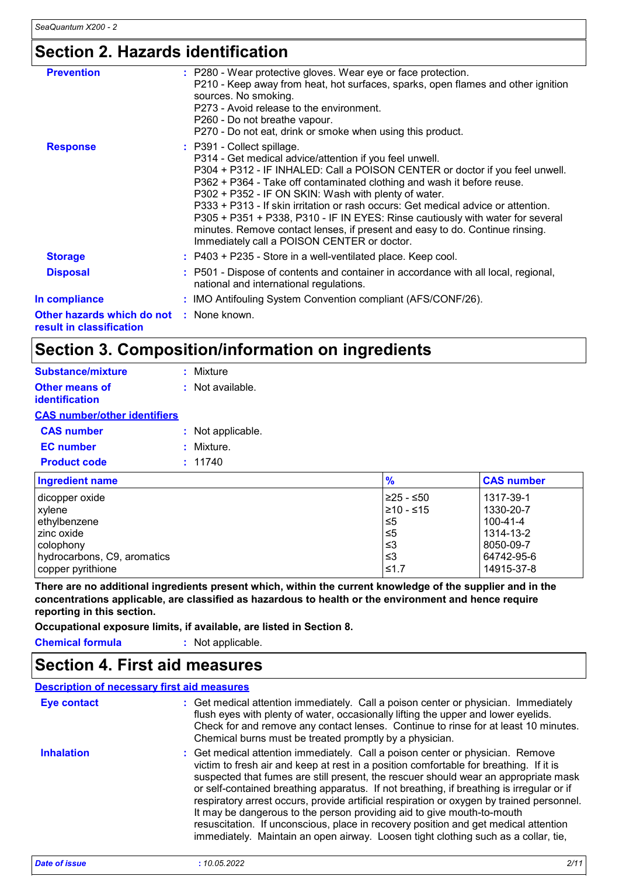# **Section 2. Hazards identification**

| <b>Prevention</b>                                                    | : P280 - Wear protective gloves. Wear eye or face protection.<br>P210 - Keep away from heat, hot surfaces, sparks, open flames and other ignition<br>sources. No smoking.<br>P273 - Avoid release to the environment.<br>P260 - Do not breathe vapour.<br>P270 - Do not eat, drink or smoke when using this product.                                                                                                                                                                                                                                                                                          |
|----------------------------------------------------------------------|---------------------------------------------------------------------------------------------------------------------------------------------------------------------------------------------------------------------------------------------------------------------------------------------------------------------------------------------------------------------------------------------------------------------------------------------------------------------------------------------------------------------------------------------------------------------------------------------------------------|
| <b>Response</b>                                                      | : P391 - Collect spillage.<br>P314 - Get medical advice/attention if you feel unwell.<br>P304 + P312 - IF INHALED: Call a POISON CENTER or doctor if you feel unwell.<br>P362 + P364 - Take off contaminated clothing and wash it before reuse.<br>P302 + P352 - IF ON SKIN: Wash with plenty of water.<br>P333 + P313 - If skin irritation or rash occurs: Get medical advice or attention.<br>P305 + P351 + P338, P310 - IF IN EYES: Rinse cautiously with water for several<br>minutes. Remove contact lenses, if present and easy to do. Continue rinsing.<br>Immediately call a POISON CENTER or doctor. |
| <b>Storage</b>                                                       | : P403 + P235 - Store in a well-ventilated place. Keep cool.                                                                                                                                                                                                                                                                                                                                                                                                                                                                                                                                                  |
| <b>Disposal</b>                                                      | : P501 - Dispose of contents and container in accordance with all local, regional,<br>national and international regulations.                                                                                                                                                                                                                                                                                                                                                                                                                                                                                 |
| In compliance                                                        | : IMO Antifouling System Convention compliant (AFS/CONF/26).                                                                                                                                                                                                                                                                                                                                                                                                                                                                                                                                                  |
| Other hazards which do not : None known.<br>result in classification |                                                                                                                                                                                                                                                                                                                                                                                                                                                                                                                                                                                                               |

### **Section 3. Composition/information on ingredients**

| Substance/mixture                   | : Mixture          |
|-------------------------------------|--------------------|
| Other means of<br>identification    | $:$ Not available. |
| <b>CAS number/other identifiers</b> |                    |
| <b>CAS number</b>                   | : Not applicable.  |
| <b>EC</b> number                    | : Mixture.         |
| <b>Product code</b>                 | : 11740            |
|                                     |                    |

| <b>Ingredient name</b>      | $\frac{9}{6}$ | <b>CAS number</b> |
|-----------------------------|---------------|-------------------|
| dicopper oxide              | ≥25 - ≤50     | 1317-39-1         |
| xylene                      | 210 - ≤15     | 1330-20-7         |
| ethylbenzene                | $\leq 5$      | 100-41-4          |
| l zinc oxide                | $\leq 5$      | 1314-13-2         |
| l colophonv                 | ו≥ ≥          | 8050-09-7         |
| hydrocarbons, C9, aromatics | ≤3            | 64742-95-6        |
| copper pyrithione           | ≤1.7          | 14915-37-8        |

**There are no additional ingredients present which, within the current knowledge of the supplier and in the concentrations applicable, are classified as hazardous to health or the environment and hence require reporting in this section.**

**Occupational exposure limits, if available, are listed in Section 8.**

**Chemical formula :** Not applicable.

### **Section 4. First aid measures**

#### **Description of necessary first aid measures**

| <b>Eye contact</b> | : Get medical attention immediately. Call a poison center or physician. Immediately<br>flush eyes with plenty of water, occasionally lifting the upper and lower eyelids.<br>Check for and remove any contact lenses. Continue to rinse for at least 10 minutes.<br>Chemical burns must be treated promptly by a physician.                                                                                                                                                                                                                                                                                                                                                                                     |
|--------------------|-----------------------------------------------------------------------------------------------------------------------------------------------------------------------------------------------------------------------------------------------------------------------------------------------------------------------------------------------------------------------------------------------------------------------------------------------------------------------------------------------------------------------------------------------------------------------------------------------------------------------------------------------------------------------------------------------------------------|
| <b>Inhalation</b>  | : Get medical attention immediately. Call a poison center or physician. Remove<br>victim to fresh air and keep at rest in a position comfortable for breathing. If it is<br>suspected that fumes are still present, the rescuer should wear an appropriate mask<br>or self-contained breathing apparatus. If not breathing, if breathing is irregular or if<br>respiratory arrest occurs, provide artificial respiration or oxygen by trained personnel.<br>It may be dangerous to the person providing aid to give mouth-to-mouth<br>resuscitation. If unconscious, place in recovery position and get medical attention<br>immediately. Maintain an open airway. Loosen tight clothing such as a collar, tie, |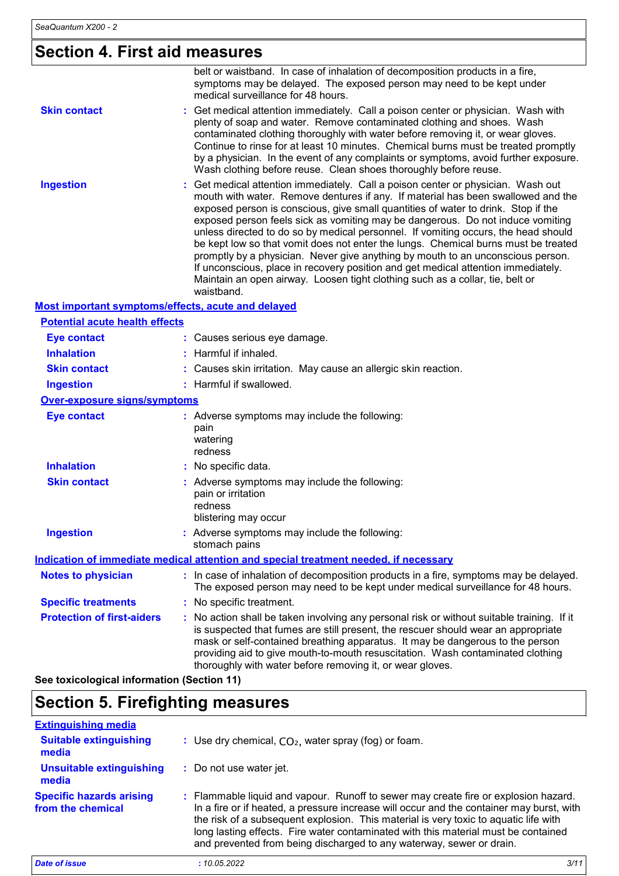### **Section 4. First aid measures**

|                                                    | belt or waistband. In case of inhalation of decomposition products in a fire,<br>symptoms may be delayed. The exposed person may need to be kept under<br>medical surveillance for 48 hours.                                                                                                                                                                                                                                                                                                                                                                                                                                                                                                                                                                                                 |
|----------------------------------------------------|----------------------------------------------------------------------------------------------------------------------------------------------------------------------------------------------------------------------------------------------------------------------------------------------------------------------------------------------------------------------------------------------------------------------------------------------------------------------------------------------------------------------------------------------------------------------------------------------------------------------------------------------------------------------------------------------------------------------------------------------------------------------------------------------|
| <b>Skin contact</b>                                | Get medical attention immediately. Call a poison center or physician. Wash with<br>plenty of soap and water. Remove contaminated clothing and shoes. Wash<br>contaminated clothing thoroughly with water before removing it, or wear gloves.<br>Continue to rinse for at least 10 minutes. Chemical burns must be treated promptly<br>by a physician. In the event of any complaints or symptoms, avoid further exposure.<br>Wash clothing before reuse. Clean shoes thoroughly before reuse.                                                                                                                                                                                                                                                                                                |
| <b>Ingestion</b>                                   | Get medical attention immediately. Call a poison center or physician. Wash out<br>mouth with water. Remove dentures if any. If material has been swallowed and the<br>exposed person is conscious, give small quantities of water to drink. Stop if the<br>exposed person feels sick as vomiting may be dangerous. Do not induce vomiting<br>unless directed to do so by medical personnel. If vomiting occurs, the head should<br>be kept low so that vomit does not enter the lungs. Chemical burns must be treated<br>promptly by a physician. Never give anything by mouth to an unconscious person.<br>If unconscious, place in recovery position and get medical attention immediately.<br>Maintain an open airway. Loosen tight clothing such as a collar, tie, belt or<br>waistband. |
| Most important symptoms/effects, acute and delayed |                                                                                                                                                                                                                                                                                                                                                                                                                                                                                                                                                                                                                                                                                                                                                                                              |
| <b>Potential acute health effects</b>              |                                                                                                                                                                                                                                                                                                                                                                                                                                                                                                                                                                                                                                                                                                                                                                                              |
| <b>Eye contact</b>                                 | : Causes serious eye damage.                                                                                                                                                                                                                                                                                                                                                                                                                                                                                                                                                                                                                                                                                                                                                                 |
| <b>Inhalation</b>                                  | : Harmful if inhaled.                                                                                                                                                                                                                                                                                                                                                                                                                                                                                                                                                                                                                                                                                                                                                                        |
| <b>Skin contact</b>                                | : Causes skin irritation. May cause an allergic skin reaction.                                                                                                                                                                                                                                                                                                                                                                                                                                                                                                                                                                                                                                                                                                                               |
| <b>Ingestion</b>                                   | : Harmful if swallowed.                                                                                                                                                                                                                                                                                                                                                                                                                                                                                                                                                                                                                                                                                                                                                                      |
| <b>Over-exposure signs/symptoms</b>                |                                                                                                                                                                                                                                                                                                                                                                                                                                                                                                                                                                                                                                                                                                                                                                                              |
| <b>Eye contact</b>                                 | : Adverse symptoms may include the following:<br>pain<br>watering<br>redness                                                                                                                                                                                                                                                                                                                                                                                                                                                                                                                                                                                                                                                                                                                 |
| <b>Inhalation</b>                                  | : No specific data.                                                                                                                                                                                                                                                                                                                                                                                                                                                                                                                                                                                                                                                                                                                                                                          |
| <b>Skin contact</b>                                | : Adverse symptoms may include the following:<br>pain or irritation<br>redness<br>blistering may occur                                                                                                                                                                                                                                                                                                                                                                                                                                                                                                                                                                                                                                                                                       |
| <b>Ingestion</b>                                   | : Adverse symptoms may include the following:<br>stomach pains                                                                                                                                                                                                                                                                                                                                                                                                                                                                                                                                                                                                                                                                                                                               |
|                                                    | Indication of immediate medical attention and special treatment needed, if necessary                                                                                                                                                                                                                                                                                                                                                                                                                                                                                                                                                                                                                                                                                                         |
| <b>Notes to physician</b>                          | : In case of inhalation of decomposition products in a fire, symptoms may be delayed.<br>The exposed person may need to be kept under medical surveillance for 48 hours.                                                                                                                                                                                                                                                                                                                                                                                                                                                                                                                                                                                                                     |
| <b>Specific treatments</b>                         | : No specific treatment.                                                                                                                                                                                                                                                                                                                                                                                                                                                                                                                                                                                                                                                                                                                                                                     |
| <b>Protection of first-aiders</b>                  | : No action shall be taken involving any personal risk or without suitable training. If it<br>is suspected that fumes are still present, the rescuer should wear an appropriate<br>mask or self-contained breathing apparatus. It may be dangerous to the person<br>providing aid to give mouth-to-mouth resuscitation. Wash contaminated clothing<br>thoroughly with water before removing it, or wear gloves.                                                                                                                                                                                                                                                                                                                                                                              |

**See toxicological information (Section 11)**

### **Section 5. Firefighting measures**

| <b>Extinguishing media</b>                           |                                                                                                                                                                                                                                                                                                                                                                                                                                       |
|------------------------------------------------------|---------------------------------------------------------------------------------------------------------------------------------------------------------------------------------------------------------------------------------------------------------------------------------------------------------------------------------------------------------------------------------------------------------------------------------------|
| <b>Suitable extinguishing</b><br>media               | : Use dry chemical, $CO2$ , water spray (fog) or foam.                                                                                                                                                                                                                                                                                                                                                                                |
| <b>Unsuitable extinguishing</b><br>media             | : Do not use water jet.                                                                                                                                                                                                                                                                                                                                                                                                               |
| <b>Specific hazards arising</b><br>from the chemical | : Flammable liquid and vapour. Runoff to sewer may create fire or explosion hazard.<br>In a fire or if heated, a pressure increase will occur and the container may burst, with<br>the risk of a subsequent explosion. This material is very toxic to aquatic life with<br>long lasting effects. Fire water contaminated with this material must be contained<br>and prevented from being discharged to any waterway, sewer or drain. |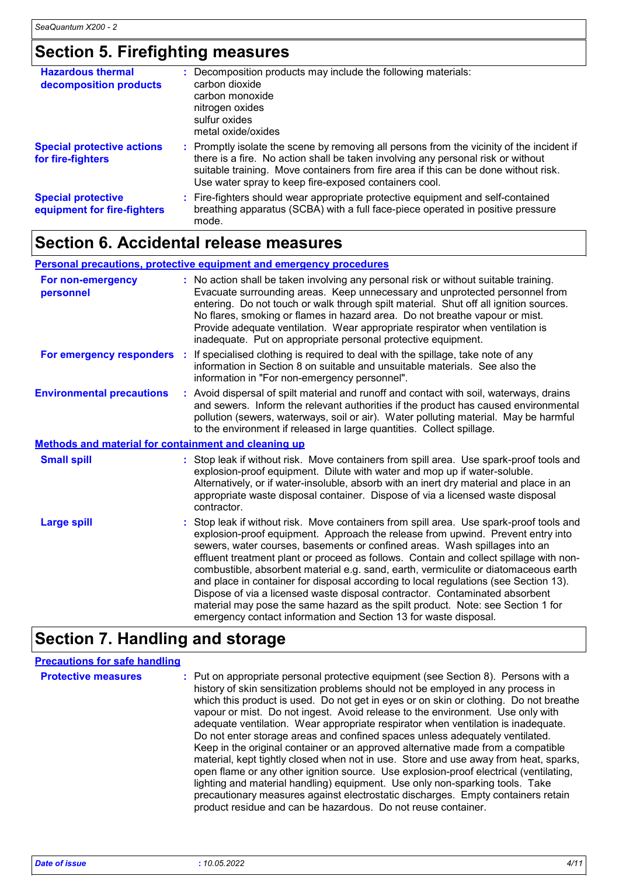# **Section 5. Firefighting measures**

| <b>Hazardous thermal</b><br>decomposition products       | : Decomposition products may include the following materials:<br>carbon dioxide<br>carbon monoxide<br>nitrogen oxides<br>sulfur oxides<br>metal oxide/oxides                                                                                                                                                                  |
|----------------------------------------------------------|-------------------------------------------------------------------------------------------------------------------------------------------------------------------------------------------------------------------------------------------------------------------------------------------------------------------------------|
| <b>Special protective actions</b><br>for fire-fighters   | : Promptly isolate the scene by removing all persons from the vicinity of the incident if<br>there is a fire. No action shall be taken involving any personal risk or without<br>suitable training. Move containers from fire area if this can be done without risk.<br>Use water spray to keep fire-exposed containers cool. |
| <b>Special protective</b><br>equipment for fire-fighters | : Fire-fighters should wear appropriate protective equipment and self-contained<br>breathing apparatus (SCBA) with a full face-piece operated in positive pressure<br>mode.                                                                                                                                                   |

### **Section 6. Accidental release measures**

### **Personal precautions, protective equipment and emergency procedures**

| For non-emergency<br>personnel                       | : No action shall be taken involving any personal risk or without suitable training.<br>Evacuate surrounding areas. Keep unnecessary and unprotected personnel from<br>entering. Do not touch or walk through spilt material. Shut off all ignition sources.<br>No flares, smoking or flames in hazard area. Do not breathe vapour or mist.<br>Provide adequate ventilation. Wear appropriate respirator when ventilation is<br>inadequate. Put on appropriate personal protective equipment.                                                                                                                                                                                                                                                                           |
|------------------------------------------------------|-------------------------------------------------------------------------------------------------------------------------------------------------------------------------------------------------------------------------------------------------------------------------------------------------------------------------------------------------------------------------------------------------------------------------------------------------------------------------------------------------------------------------------------------------------------------------------------------------------------------------------------------------------------------------------------------------------------------------------------------------------------------------|
| For emergency responders :                           | If specialised clothing is required to deal with the spillage, take note of any<br>information in Section 8 on suitable and unsuitable materials. See also the<br>information in "For non-emergency personnel".                                                                                                                                                                                                                                                                                                                                                                                                                                                                                                                                                         |
| <b>Environmental precautions</b>                     | : Avoid dispersal of spilt material and runoff and contact with soil, waterways, drains<br>and sewers. Inform the relevant authorities if the product has caused environmental<br>pollution (sewers, waterways, soil or air). Water polluting material. May be harmful<br>to the environment if released in large quantities. Collect spillage.                                                                                                                                                                                                                                                                                                                                                                                                                         |
| Methods and material for containment and cleaning up |                                                                                                                                                                                                                                                                                                                                                                                                                                                                                                                                                                                                                                                                                                                                                                         |
| <b>Small spill</b>                                   | : Stop leak if without risk. Move containers from spill area. Use spark-proof tools and<br>explosion-proof equipment. Dilute with water and mop up if water-soluble.<br>Alternatively, or if water-insoluble, absorb with an inert dry material and place in an<br>appropriate waste disposal container. Dispose of via a licensed waste disposal<br>contractor.                                                                                                                                                                                                                                                                                                                                                                                                        |
| <b>Large spill</b>                                   | : Stop leak if without risk. Move containers from spill area. Use spark-proof tools and<br>explosion-proof equipment. Approach the release from upwind. Prevent entry into<br>sewers, water courses, basements or confined areas. Wash spillages into an<br>effluent treatment plant or proceed as follows. Contain and collect spillage with non-<br>combustible, absorbent material e.g. sand, earth, vermiculite or diatomaceous earth<br>and place in container for disposal according to local regulations (see Section 13).<br>Dispose of via a licensed waste disposal contractor. Contaminated absorbent<br>material may pose the same hazard as the spilt product. Note: see Section 1 for<br>emergency contact information and Section 13 for waste disposal. |

# **Section 7. Handling and storage**

| <b>Precautions for safe handling</b> |                                                                                                                                                                                                                                                                                                                                                                                                                                                                                                                                                                                                                                                                                                                                                                                                                                                                                                                                                                                                                                 |
|--------------------------------------|---------------------------------------------------------------------------------------------------------------------------------------------------------------------------------------------------------------------------------------------------------------------------------------------------------------------------------------------------------------------------------------------------------------------------------------------------------------------------------------------------------------------------------------------------------------------------------------------------------------------------------------------------------------------------------------------------------------------------------------------------------------------------------------------------------------------------------------------------------------------------------------------------------------------------------------------------------------------------------------------------------------------------------|
| <b>Protective measures</b>           | : Put on appropriate personal protective equipment (see Section 8). Persons with a<br>history of skin sensitization problems should not be employed in any process in<br>which this product is used. Do not get in eyes or on skin or clothing. Do not breathe<br>vapour or mist. Do not ingest. Avoid release to the environment. Use only with<br>adequate ventilation. Wear appropriate respirator when ventilation is inadequate.<br>Do not enter storage areas and confined spaces unless adequately ventilated.<br>Keep in the original container or an approved alternative made from a compatible<br>material, kept tightly closed when not in use. Store and use away from heat, sparks,<br>open flame or any other ignition source. Use explosion-proof electrical (ventilating,<br>lighting and material handling) equipment. Use only non-sparking tools. Take<br>precautionary measures against electrostatic discharges. Empty containers retain<br>product residue and can be hazardous. Do not reuse container. |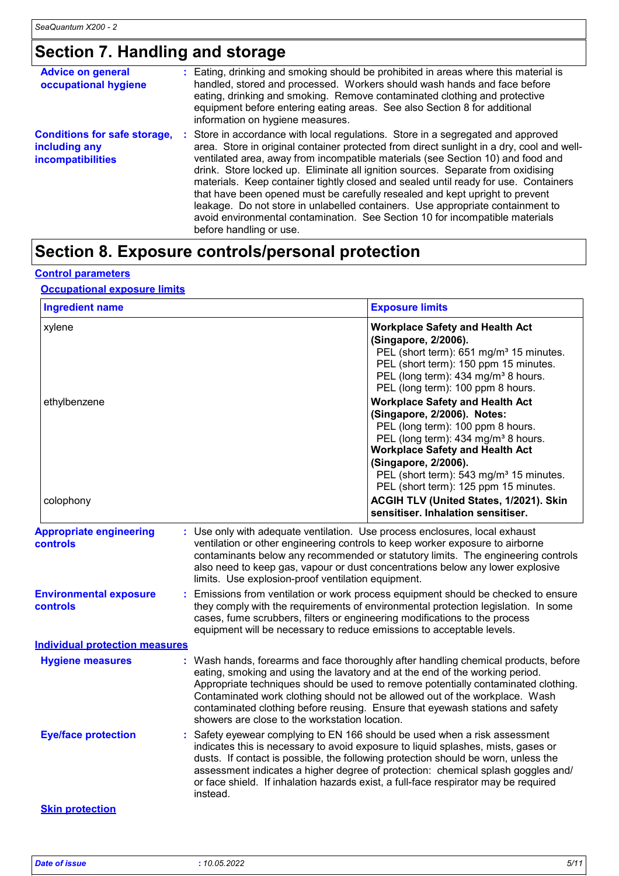# **Section 7. Handling and storage**

| <b>Advice on general</b><br>occupational hygiene                                 | : Eating, drinking and smoking should be prohibited in areas where this material is<br>handled, stored and processed. Workers should wash hands and face before<br>eating, drinking and smoking. Remove contaminated clothing and protective<br>equipment before entering eating areas. See also Section 8 for additional<br>information on hygiene measures.                                                                                                                                                                                                                                                                                                                                                           |
|----------------------------------------------------------------------------------|-------------------------------------------------------------------------------------------------------------------------------------------------------------------------------------------------------------------------------------------------------------------------------------------------------------------------------------------------------------------------------------------------------------------------------------------------------------------------------------------------------------------------------------------------------------------------------------------------------------------------------------------------------------------------------------------------------------------------|
| <b>Conditions for safe storage,</b><br>including any<br><b>incompatibilities</b> | : Store in accordance with local regulations. Store in a segregated and approved<br>area. Store in original container protected from direct sunlight in a dry, cool and well-<br>ventilated area, away from incompatible materials (see Section 10) and food and<br>drink. Store locked up. Eliminate all ignition sources. Separate from oxidising<br>materials. Keep container tightly closed and sealed until ready for use. Containers<br>that have been opened must be carefully resealed and kept upright to prevent<br>leakage. Do not store in unlabelled containers. Use appropriate containment to<br>avoid environmental contamination. See Section 10 for incompatible materials<br>before handling or use. |

### **Section 8. Exposure controls/personal protection**

#### **Control parameters**

#### **Occupational exposure limits**

| xylene<br>ethylbenzene<br>colophony<br><b>Appropriate engineering</b><br>controls<br><b>Environmental exposure</b><br>controls<br><b>Individual protection measures</b> | ventilation or other engineering controls to keep worker exposure to airborne                                                                       | <b>Workplace Safety and Health Act</b><br>(Singapore, 2/2006).<br>PEL (short term): 651 mg/m <sup>3</sup> 15 minutes.<br>PEL (short term): 150 ppm 15 minutes.<br>PEL (long term): 434 mg/m <sup>3</sup> 8 hours.<br>PEL (long term): 100 ppm 8 hours.<br><b>Workplace Safety and Health Act</b><br>(Singapore, 2/2006). Notes:<br>PEL (long term): 100 ppm 8 hours.<br>PEL (long term): 434 mg/m <sup>3</sup> 8 hours.<br><b>Workplace Safety and Health Act</b><br>(Singapore, 2/2006).<br>PEL (short term): 543 mg/m <sup>3</sup> 15 minutes.<br>PEL (short term): 125 ppm 15 minutes.<br>ACGIH TLV (United States, 1/2021). Skin<br>sensitiser. Inhalation sensitiser.<br>: Use only with adequate ventilation. Use process enclosures, local exhaust |
|-------------------------------------------------------------------------------------------------------------------------------------------------------------------------|-----------------------------------------------------------------------------------------------------------------------------------------------------|-----------------------------------------------------------------------------------------------------------------------------------------------------------------------------------------------------------------------------------------------------------------------------------------------------------------------------------------------------------------------------------------------------------------------------------------------------------------------------------------------------------------------------------------------------------------------------------------------------------------------------------------------------------------------------------------------------------------------------------------------------------|
|                                                                                                                                                                         |                                                                                                                                                     |                                                                                                                                                                                                                                                                                                                                                                                                                                                                                                                                                                                                                                                                                                                                                           |
|                                                                                                                                                                         |                                                                                                                                                     |                                                                                                                                                                                                                                                                                                                                                                                                                                                                                                                                                                                                                                                                                                                                                           |
|                                                                                                                                                                         | limits. Use explosion-proof ventilation equipment.                                                                                                  | contaminants below any recommended or statutory limits. The engineering controls<br>also need to keep gas, vapour or dust concentrations below any lower explosive                                                                                                                                                                                                                                                                                                                                                                                                                                                                                                                                                                                        |
|                                                                                                                                                                         | cases, fume scrubbers, filters or engineering modifications to the process<br>equipment will be necessary to reduce emissions to acceptable levels. | Emissions from ventilation or work process equipment should be checked to ensure<br>they comply with the requirements of environmental protection legislation. In some                                                                                                                                                                                                                                                                                                                                                                                                                                                                                                                                                                                    |
|                                                                                                                                                                         |                                                                                                                                                     |                                                                                                                                                                                                                                                                                                                                                                                                                                                                                                                                                                                                                                                                                                                                                           |
| <b>Hygiene measures</b>                                                                                                                                                 | showers are close to the workstation location.                                                                                                      | : Wash hands, forearms and face thoroughly after handling chemical products, before<br>eating, smoking and using the lavatory and at the end of the working period.<br>Appropriate techniques should be used to remove potentially contaminated clothing.<br>Contaminated work clothing should not be allowed out of the workplace. Wash<br>contaminated clothing before reusing. Ensure that eyewash stations and safety                                                                                                                                                                                                                                                                                                                                 |
| <b>Eye/face protection</b>                                                                                                                                              | instead.                                                                                                                                            | : Safety eyewear complying to EN 166 should be used when a risk assessment<br>indicates this is necessary to avoid exposure to liquid splashes, mists, gases or<br>dusts. If contact is possible, the following protection should be worn, unless the<br>assessment indicates a higher degree of protection: chemical splash goggles and/<br>or face shield. If inhalation hazards exist, a full-face respirator may be required                                                                                                                                                                                                                                                                                                                          |
| <b>Skin protection</b>                                                                                                                                                  |                                                                                                                                                     |                                                                                                                                                                                                                                                                                                                                                                                                                                                                                                                                                                                                                                                                                                                                                           |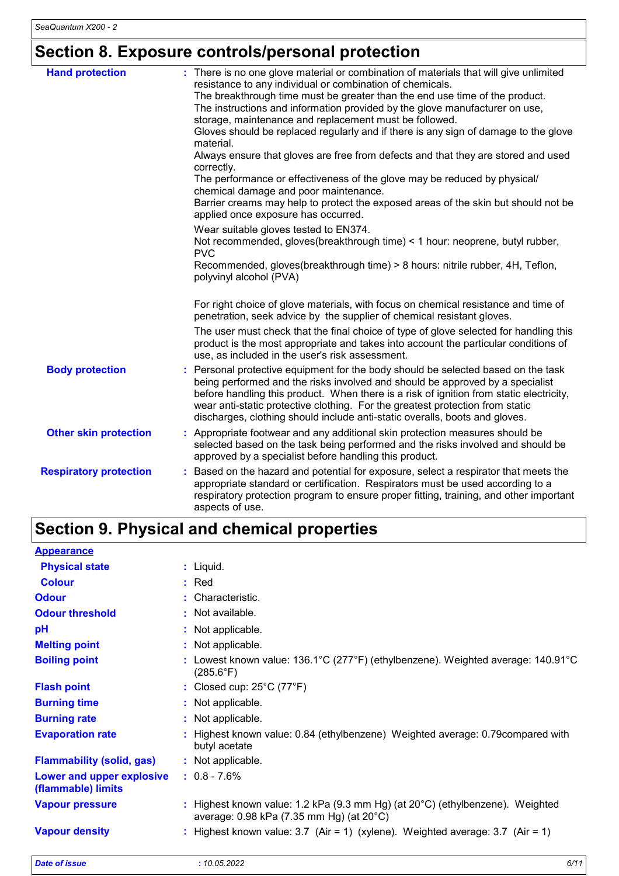# **Section 8. Exposure controls/personal protection**

| <b>Hand protection</b>        | : There is no one glove material or combination of materials that will give unlimited<br>resistance to any individual or combination of chemicals.<br>The breakthrough time must be greater than the end use time of the product.<br>The instructions and information provided by the glove manufacturer on use,<br>storage, maintenance and replacement must be followed.<br>Gloves should be replaced regularly and if there is any sign of damage to the glove<br>material.<br>Always ensure that gloves are free from defects and that they are stored and used<br>correctly.<br>The performance or effectiveness of the glove may be reduced by physical/<br>chemical damage and poor maintenance.<br>Barrier creams may help to protect the exposed areas of the skin but should not be<br>applied once exposure has occurred.<br>Wear suitable gloves tested to EN374.<br>Not recommended, gloves(breakthrough time) < 1 hour: neoprene, butyl rubber,<br><b>PVC</b><br>Recommended, gloves(breakthrough time) > 8 hours: nitrile rubber, 4H, Teflon,<br>polyvinyl alcohol (PVA) |
|-------------------------------|-----------------------------------------------------------------------------------------------------------------------------------------------------------------------------------------------------------------------------------------------------------------------------------------------------------------------------------------------------------------------------------------------------------------------------------------------------------------------------------------------------------------------------------------------------------------------------------------------------------------------------------------------------------------------------------------------------------------------------------------------------------------------------------------------------------------------------------------------------------------------------------------------------------------------------------------------------------------------------------------------------------------------------------------------------------------------------------------|
|                               | For right choice of glove materials, with focus on chemical resistance and time of<br>penetration, seek advice by the supplier of chemical resistant gloves.<br>The user must check that the final choice of type of glove selected for handling this<br>product is the most appropriate and takes into account the particular conditions of<br>use, as included in the user's risk assessment.                                                                                                                                                                                                                                                                                                                                                                                                                                                                                                                                                                                                                                                                                         |
| <b>Body protection</b>        | Personal protective equipment for the body should be selected based on the task<br>being performed and the risks involved and should be approved by a specialist<br>before handling this product. When there is a risk of ignition from static electricity,<br>wear anti-static protective clothing. For the greatest protection from static<br>discharges, clothing should include anti-static overalls, boots and gloves.                                                                                                                                                                                                                                                                                                                                                                                                                                                                                                                                                                                                                                                             |
| <b>Other skin protection</b>  | : Appropriate footwear and any additional skin protection measures should be<br>selected based on the task being performed and the risks involved and should be<br>approved by a specialist before handling this product.                                                                                                                                                                                                                                                                                                                                                                                                                                                                                                                                                                                                                                                                                                                                                                                                                                                               |
| <b>Respiratory protection</b> | Based on the hazard and potential for exposure, select a respirator that meets the<br>appropriate standard or certification. Respirators must be used according to a<br>respiratory protection program to ensure proper fitting, training, and other important<br>aspects of use.                                                                                                                                                                                                                                                                                                                                                                                                                                                                                                                                                                                                                                                                                                                                                                                                       |

## **Section 9. Physical and chemical properties**

| <b>Appearance</b>                               |                                                                                                                                       |
|-------------------------------------------------|---------------------------------------------------------------------------------------------------------------------------------------|
| <b>Physical state</b>                           | : Liquid.                                                                                                                             |
| <b>Colour</b>                                   | $:$ Red                                                                                                                               |
| <b>Odour</b>                                    | : Characteristic.                                                                                                                     |
| <b>Odour threshold</b>                          | : Not available.                                                                                                                      |
| рH                                              | : Not applicable.                                                                                                                     |
| <b>Melting point</b>                            | : Not applicable.                                                                                                                     |
| <b>Boiling point</b>                            | : Lowest known value: $136.1^{\circ}$ C (277 $^{\circ}$ F) (ethylbenzene). Weighted average: $140.91^{\circ}$ C<br>$(285.6^{\circ}F)$ |
| <b>Flash point</b>                              | : Closed cup: $25^{\circ}$ C (77 $^{\circ}$ F)                                                                                        |
| <b>Burning time</b>                             | : Not applicable.                                                                                                                     |
| <b>Burning rate</b>                             | : Not applicable.                                                                                                                     |
| <b>Evaporation rate</b>                         | : Highest known value: 0.84 (ethylbenzene) Weighted average: 0.79 compared with<br>butyl acetate                                      |
| <b>Flammability (solid, gas)</b>                | : Not applicable.                                                                                                                     |
| Lower and upper explosive<br>(flammable) limits | $: 0.8 - 7.6\%$                                                                                                                       |
| <b>Vapour pressure</b>                          | : Highest known value: 1.2 kPa (9.3 mm Hg) (at $20^{\circ}$ C) (ethylbenzene). Weighted<br>average: 0.98 kPa (7.35 mm Hg) (at 20°C)   |
| <b>Vapour density</b>                           | : Highest known value: $3.7$ (Air = 1) (xylene). Weighted average: $3.7$ (Air = 1)                                                    |
| <b>Date of issue</b>                            | 6/11<br>: 10.05.2022                                                                                                                  |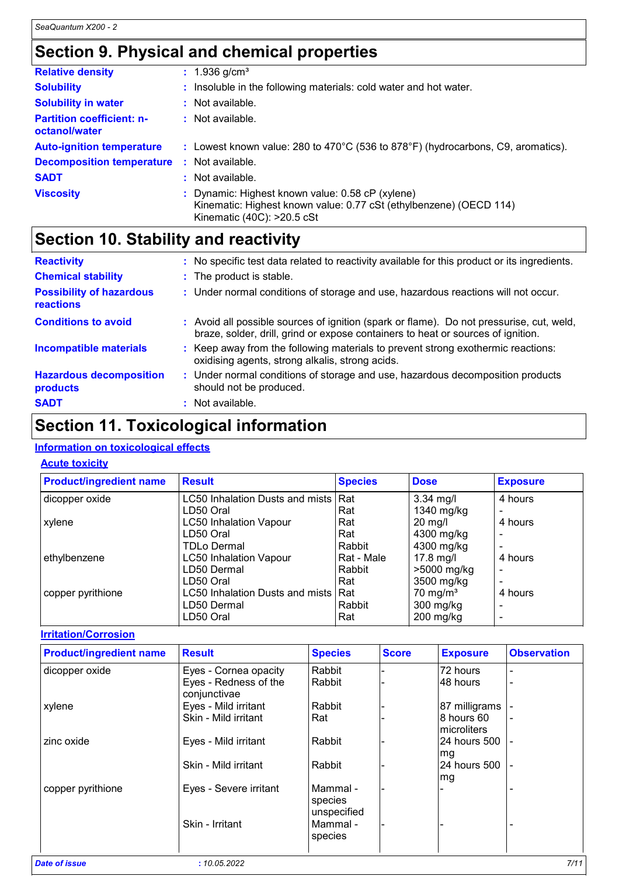## **Section 9. Physical and chemical properties**

| <b>Relative density</b>                           |     | : $1.936$ g/cm <sup>3</sup>                                                                                                                                     |
|---------------------------------------------------|-----|-----------------------------------------------------------------------------------------------------------------------------------------------------------------|
| <b>Solubility</b>                                 |     | Insoluble in the following materials: cold water and hot water.                                                                                                 |
| <b>Solubility in water</b>                        |     | $:$ Not available.                                                                                                                                              |
| <b>Partition coefficient: n-</b><br>octanol/water |     | $:$ Not available.                                                                                                                                              |
| <b>Auto-ignition temperature</b>                  |     | : Lowest known value: 280 to $470^{\circ}$ C (536 to 878 $^{\circ}$ F) (hydrocarbons, C9, aromatics).                                                           |
| <b>Decomposition temperature</b>                  | -11 | Not available.                                                                                                                                                  |
| <b>SADT</b>                                       | ÷   | Not available.                                                                                                                                                  |
| <b>Viscosity</b>                                  |     | Dynamic: Highest known value: 0.58 cP (xylene)<br>Kinematic: Highest known value: 0.77 cSt (ethylbenzene) (OECD 114)<br>Kinematic $(40C)$ : $>20.5 \text{ cSt}$ |

### **Section 10. Stability and reactivity**

| <b>Reactivity</b>                            | : No specific test data related to reactivity available for this product or its ingredients.                                                                                 |
|----------------------------------------------|------------------------------------------------------------------------------------------------------------------------------------------------------------------------------|
| <b>Chemical stability</b>                    | : The product is stable.                                                                                                                                                     |
| <b>Possibility of hazardous</b><br>reactions | : Under normal conditions of storage and use, hazardous reactions will not occur.                                                                                            |
| <b>Conditions to avoid</b>                   | : Avoid all possible sources of ignition (spark or flame). Do not pressurise, cut, weld,<br>braze, solder, drill, grind or expose containers to heat or sources of ignition. |
| <b>Incompatible materials</b>                | : Keep away from the following materials to prevent strong exothermic reactions:<br>oxidising agents, strong alkalis, strong acids.                                          |
| <b>Hazardous decomposition</b><br>products   | : Under normal conditions of storage and use, hazardous decomposition products<br>should not be produced.                                                                    |
| <b>SADT</b>                                  | : Not available.                                                                                                                                                             |

### **Section 11. Toxicological information**

#### **Information on toxicological effects**

#### **Acute toxicity**

| <b>Product/ingredient name</b> | <b>Result</b>                       | <b>Species</b> | <b>Dose</b>          | <b>Exposure</b> |
|--------------------------------|-------------------------------------|----------------|----------------------|-----------------|
| dicopper oxide                 | LC50 Inhalation Dusts and mists Rat |                | $3.34$ mg/l          | 4 hours         |
|                                | LD50 Oral                           | Rat            | 1340 mg/kg           |                 |
| xylene                         | <b>LC50 Inhalation Vapour</b>       | Rat            | $20$ mg/l            | 4 hours         |
|                                | LD50 Oral                           | Rat            | 4300 mg/kg           |                 |
|                                | <b>TDLo Dermal</b>                  | Rabbit         | 4300 mg/kg           |                 |
| ethylbenzene                   | <b>LC50 Inhalation Vapour</b>       | Rat - Male     | $17.8$ mg/l          | 4 hours         |
|                                | LD50 Dermal                         | Rabbit         | >5000 mg/kg          | -               |
|                                | LD50 Oral                           | Rat            | 3500 mg/kg           | $\blacksquare$  |
| copper pyrithione              | LC50 Inhalation Dusts and mists Rat |                | 70 mg/m <sup>3</sup> | 4 hours         |
|                                | LD50 Dermal                         | Rabbit         | $300$ mg/kg          |                 |
|                                | LD50 Oral                           | Rat            | $200$ mg/kg          |                 |

**Irritation/Corrosion**

| <b>Product/ingredient name</b> | <b>Result</b>                         | <b>Species</b>                    | <b>Score</b> | <b>Exposure</b>            | <b>Observation</b> |
|--------------------------------|---------------------------------------|-----------------------------------|--------------|----------------------------|--------------------|
| dicopper oxide                 | Eyes - Cornea opacity                 | Rabbit                            |              | 72 hours                   |                    |
|                                | Eyes - Redness of the<br>conjunctivae | Rabbit                            |              | 48 hours                   |                    |
| xylene                         | Eyes - Mild irritant                  | Rabbit                            |              | 87 milligrams              |                    |
|                                | Skin - Mild irritant                  | Rat                               |              | 8 hours 60<br>Imicroliters | ۰                  |
| zinc oxide                     | Eyes - Mild irritant                  | Rabbit                            |              | 24 hours 500<br>mg         | $\blacksquare$     |
|                                | Skin - Mild irritant                  | Rabbit                            |              | 24 hours 500<br>mg         |                    |
| copper pyrithione              | Eyes - Severe irritant                | Mammal-<br>species<br>unspecified |              |                            |                    |
|                                | Skin - Irritant                       | Mammal-<br>species                |              |                            |                    |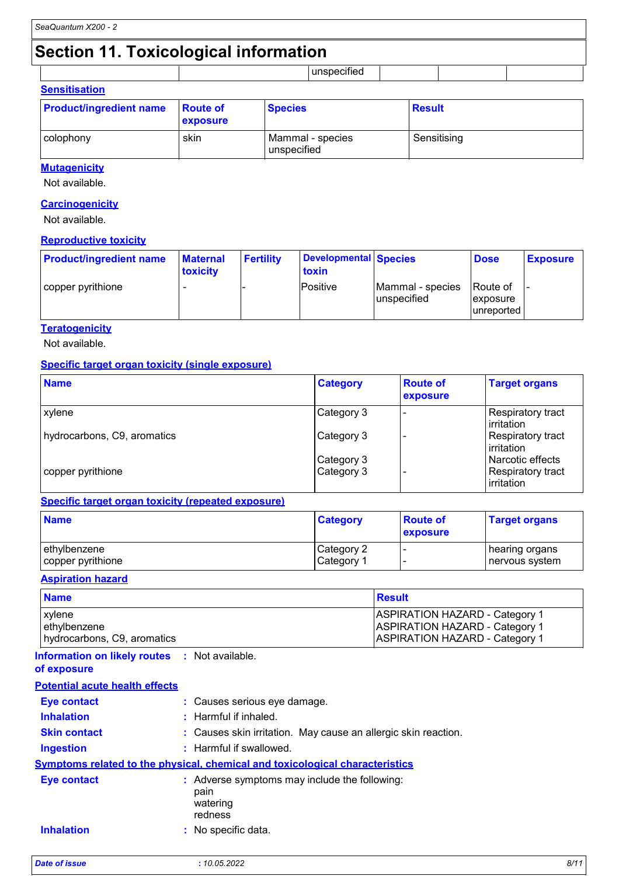## **Section 11. Toxicological information**

|                          | . .<br>$\sim$ $\sim$ |  |  |
|--------------------------|----------------------|--|--|
| - -<br>----------------- |                      |  |  |

| <b>SUISIUSAUVII</b>            |                             |                                 |               |
|--------------------------------|-----------------------------|---------------------------------|---------------|
| <b>Product/ingredient name</b> | <b>Route of</b><br>exposure | <b>Species</b>                  | <b>Result</b> |
| colophony                      | skin                        | Mammal - species<br>unspecified | Sensitising   |

#### **Mutagenicity**

Not available.

#### **Carcinogenicity**

Not available.

#### **Reproductive toxicity**

| <b>Product/ingredient name</b> | <b>Maternal</b><br>toxicity | <b>Fertility</b> | Developmental Species<br>toxin |                                 | <b>Dose</b>                                 | <b>Exposure</b> |
|--------------------------------|-----------------------------|------------------|--------------------------------|---------------------------------|---------------------------------------------|-----------------|
| copper pyrithione              |                             |                  | Positive                       | Mammal - species<br>unspecified | IRoute of<br><i>exposure</i><br>lunreported |                 |

#### **Teratogenicity**

Not available.

#### **Specific target organ toxicity (single exposure)**

| <b>Name</b>                 | <b>Category</b> | <b>Route of</b><br>exposure | <b>Target organs</b>                   |
|-----------------------------|-----------------|-----------------------------|----------------------------------------|
| xylene                      | Category 3      | -                           | Respiratory tract<br>irritation        |
| hydrocarbons, C9, aromatics | Category 3      |                             | <b>Respiratory tract</b><br>irritation |
|                             | Category 3      |                             | Narcotic effects                       |
| copper pyrithione           | Category 3      |                             | Respiratory tract<br>irritation        |

#### **Specific target organ toxicity (repeated exposure)**

| <b>Name</b>       | <b>Category</b> | <b>Route of</b><br>exposure | <b>Target organs</b> |
|-------------------|-----------------|-----------------------------|----------------------|
| ethylbenzene      | Category 2      |                             | hearing organs       |
| copper pyrithione | Category 1      |                             | nervous system       |

#### **Aspiration hazard**

| <b>Name</b>                 | <b>Result</b>                         |  |
|-----------------------------|---------------------------------------|--|
| <b>xylene</b>               | <b>ASPIRATION HAZARD - Category 1</b> |  |
| ethylbenzene                | <b>ASPIRATION HAZARD - Category 1</b> |  |
| hydrocarbons, C9, aromatics | <b>ASPIRATION HAZARD - Category 1</b> |  |

#### **Information on likely routes :** Not available. **of exposure**

| <b>Eye contact</b><br><b>Inhalation</b> |                                                                              | : Causes serious eye damage.<br>$:$ Harmful if inhaled.                             |  |  |
|-----------------------------------------|------------------------------------------------------------------------------|-------------------------------------------------------------------------------------|--|--|
| <b>Skin contact</b>                     |                                                                              | : Causes skin irritation. May cause an allergic skin reaction.                      |  |  |
| <b>Ingestion</b>                        |                                                                              | $:$ Harmful if swallowed.                                                           |  |  |
|                                         |                                                                              | <b>Symptoms related to the physical, chemical and toxicological characteristics</b> |  |  |
| Eye contact                             | : Adverse symptoms may include the following:<br>pain<br>watering<br>redness |                                                                                     |  |  |
| <b>Inhalation</b>                       |                                                                              | $\therefore$ No specific data.                                                      |  |  |

| <b>Date of issue</b> | 10.05.2022 | 8/1' |
|----------------------|------------|------|
|                      |            |      |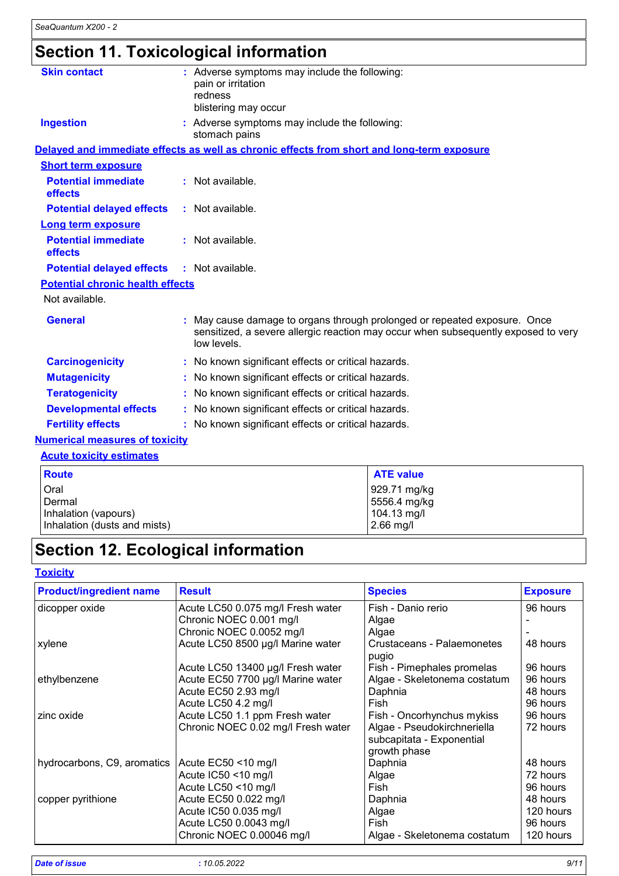# **Section 11. Toxicological information**

| <b>Skin contact</b>                     | : Adverse symptoms may include the following:<br>pain or irritation<br>redness<br>blistering may occur                                                                       |  |
|-----------------------------------------|------------------------------------------------------------------------------------------------------------------------------------------------------------------------------|--|
| <b>Ingestion</b>                        | : Adverse symptoms may include the following:<br>stomach pains                                                                                                               |  |
|                                         | Delayed and immediate effects as well as chronic effects from short and long-term exposure                                                                                   |  |
| <b>Short term exposure</b>              |                                                                                                                                                                              |  |
| <b>Potential immediate</b><br>effects   | : Not available.                                                                                                                                                             |  |
| <b>Potential delayed effects</b>        | : Not available.                                                                                                                                                             |  |
| Long term exposure                      |                                                                                                                                                                              |  |
| <b>Potential immediate</b><br>effects   | : Not available.                                                                                                                                                             |  |
| <b>Potential delayed effects</b>        | : Not available.                                                                                                                                                             |  |
| <b>Potential chronic health effects</b> |                                                                                                                                                                              |  |
| Not available.                          |                                                                                                                                                                              |  |
| <b>General</b>                          | May cause damage to organs through prolonged or repeated exposure. Once<br>sensitized, a severe allergic reaction may occur when subsequently exposed to very<br>low levels. |  |
| <b>Carcinogenicity</b>                  | : No known significant effects or critical hazards.                                                                                                                          |  |
| <b>Mutagenicity</b>                     | : No known significant effects or critical hazards.                                                                                                                          |  |
| <b>Teratogenicity</b>                   | : No known significant effects or critical hazards.                                                                                                                          |  |
| <b>Developmental effects</b>            | : No known significant effects or critical hazards.                                                                                                                          |  |
| <b>Fertility effects</b>                | : No known significant effects or critical hazards.                                                                                                                          |  |
| <b>Numerical measures of toxicity</b>   |                                                                                                                                                                              |  |
| <b>Acute toxicity estimates</b>         |                                                                                                                                                                              |  |
|                                         |                                                                                                                                                                              |  |

| <b>Route</b>                 | <b>ATE value</b> |
|------------------------------|------------------|
| Oral                         | 929.71 mg/kg     |
| Dermal                       | 5556.4 mg/kg     |
| Inhalation (vapours)         | 104.13 mg/l      |
| Inhalation (dusts and mists) | $2.66$ mg/l      |

# **Section 12. Ecological information**

#### **Toxicity**

| <b>Product/ingredient name</b> | <b>Result</b>                      | <b>Species</b>                      | <b>Exposure</b> |
|--------------------------------|------------------------------------|-------------------------------------|-----------------|
| dicopper oxide                 | Acute LC50 0.075 mg/l Fresh water  | Fish - Danio rerio                  | 96 hours        |
|                                | Chronic NOEC 0.001 mg/l            | Algae                               |                 |
|                                | Chronic NOEC 0.0052 mg/l           | Algae                               |                 |
| xylene                         | Acute LC50 8500 µg/l Marine water  | Crustaceans - Palaemonetes<br>pugio | 48 hours        |
|                                | Acute LC50 13400 µg/l Fresh water  | Fish - Pimephales promelas          | 96 hours        |
| ethylbenzene                   | Acute EC50 7700 µg/l Marine water  | Algae - Skeletonema costatum        | 96 hours        |
|                                | Acute EC50 2.93 mg/l               | Daphnia                             | 48 hours        |
|                                | Acute LC50 4.2 mg/l                | Fish                                | 96 hours        |
| zinc oxide                     | Acute LC50 1.1 ppm Fresh water     | Fish - Oncorhynchus mykiss          | 96 hours        |
|                                | Chronic NOEC 0.02 mg/l Fresh water | Algae - Pseudokirchneriella         | 72 hours        |
|                                |                                    | subcapitata - Exponential           |                 |
|                                |                                    | growth phase                        |                 |
| hydrocarbons, C9, aromatics    | Acute EC50 <10 mg/l                | Daphnia                             | 48 hours        |
|                                | Acute IC50 <10 mg/l                | Algae                               | 72 hours        |
|                                | Acute LC50 <10 mg/l                | Fish                                | 96 hours        |
| copper pyrithione              | Acute EC50 0.022 mg/l              | Daphnia                             | 48 hours        |
|                                | Acute IC50 0.035 mg/l              | Algae                               | 120 hours       |
|                                | Acute LC50 0.0043 mg/l             | Fish                                | 96 hours        |
|                                | Chronic NOEC 0.00046 mg/l          | Algae - Skeletonema costatum        | 120 hours       |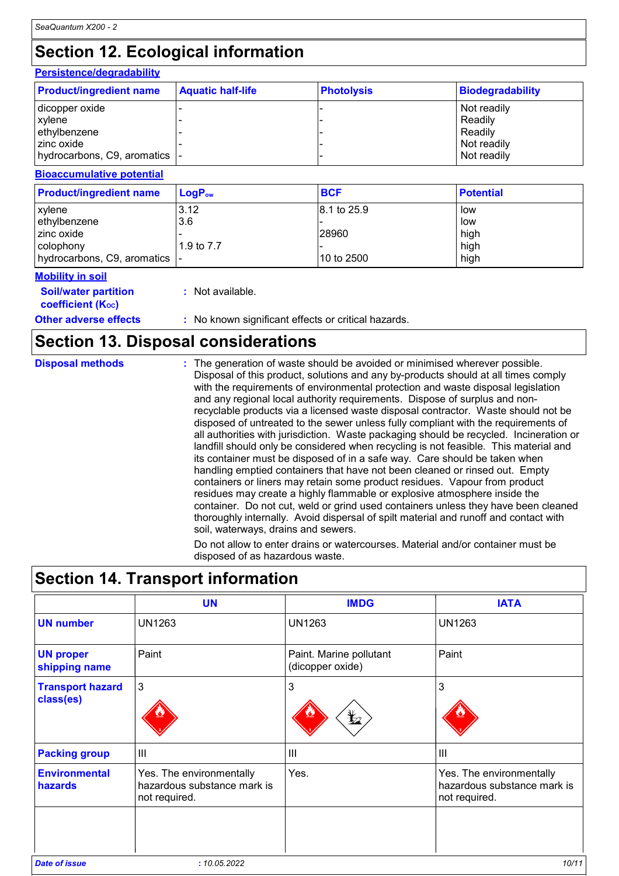# **Section 12. Ecological information**

### **Persistence/degradability**

| <b>Product/ingredient name</b> | <b>Aquatic half-life</b> | <b>Photolysis</b> | <b>Biodegradability</b> |
|--------------------------------|--------------------------|-------------------|-------------------------|
| dicopper oxide                 |                          |                   | Not readily             |
| <b>xylene</b>                  |                          |                   | Readily                 |
| ethylbenzene                   |                          |                   | Readily                 |
| l zinc oxide                   |                          |                   | Not readily             |
| hydrocarbons, C9, aromatics  - |                          |                   | Not readily             |

#### **Bioaccumulative potential**

| <b>Product/ingredient name</b> | $LoaPow$   | <b>BCF</b>  | <b>Potential</b> |
|--------------------------------|------------|-------------|------------------|
| <b>xylene</b>                  | 3.12       | 8.1 to 25.9 | low              |
| ethylbenzene                   | 3.6        |             | low              |
| I zinc oxide                   |            | 28960       | high             |
| colophony                      | 1.9 to 7.7 |             | high             |
| hydrocarbons, C9, aromatics  - |            | 10 to 2500  | high             |

#### **Mobility in soil**

**Soil/water partition** 

**coefficient (KOC)**

**:** Not available.

#### **Other adverse effects** : No known significant effects or critical hazards.

### **Section 13. Disposal considerations**

| <b>Disposal methods</b> | : The generation of waste should be avoided or minimised wherever possible.<br>Disposal of this product, solutions and any by-products should at all times comply<br>with the requirements of environmental protection and waste disposal legislation<br>and any regional local authority requirements. Dispose of surplus and non-<br>recyclable products via a licensed waste disposal contractor. Waste should not be<br>disposed of untreated to the sewer unless fully compliant with the requirements of<br>all authorities with jurisdiction. Waste packaging should be recycled. Incineration or<br>landfill should only be considered when recycling is not feasible. This material and<br>its container must be disposed of in a safe way. Care should be taken when<br>handling emptied containers that have not been cleaned or rinsed out. Empty<br>containers or liners may retain some product residues. Vapour from product<br>residues may create a highly flammable or explosive atmosphere inside the<br>container. Do not cut, weld or grind used containers unless they have been cleaned |
|-------------------------|----------------------------------------------------------------------------------------------------------------------------------------------------------------------------------------------------------------------------------------------------------------------------------------------------------------------------------------------------------------------------------------------------------------------------------------------------------------------------------------------------------------------------------------------------------------------------------------------------------------------------------------------------------------------------------------------------------------------------------------------------------------------------------------------------------------------------------------------------------------------------------------------------------------------------------------------------------------------------------------------------------------------------------------------------------------------------------------------------------------|
|                         | thoroughly internally. Avoid dispersal of spilt material and runoff and contact with<br>soil, waterways, drains and sewers.                                                                                                                                                                                                                                                                                                                                                                                                                                                                                                                                                                                                                                                                                                                                                                                                                                                                                                                                                                                    |

Do not allow to enter drains or watercourses. Material and/or container must be disposed of as hazardous waste.

## **Section 14. Transport information**

|                                      | <b>UN</b>                                                                | <b>IMDG</b>                                 | <b>IATA</b>                                                              |
|--------------------------------------|--------------------------------------------------------------------------|---------------------------------------------|--------------------------------------------------------------------------|
| <b>UN number</b>                     | <b>UN1263</b>                                                            | <b>UN1263</b>                               | <b>UN1263</b>                                                            |
| <b>UN proper</b><br>shipping name    | Paint                                                                    | Paint. Marine pollutant<br>(dicopper oxide) | Paint                                                                    |
| <b>Transport hazard</b><br>class(es) | 3                                                                        | 3<br>$\bigstar$                             | 3                                                                        |
| <b>Packing group</b>                 | III                                                                      | $\mathbf{III}$                              | $\mathbf{III}$                                                           |
| <b>Environmental</b><br>hazards      | Yes. The environmentally<br>hazardous substance mark is<br>not required. | Yes.                                        | Yes. The environmentally<br>hazardous substance mark is<br>not required. |
|                                      |                                                                          |                                             |                                                                          |
| <b>Date of issue</b>                 | : 10.05.2022                                                             |                                             | 10/11                                                                    |